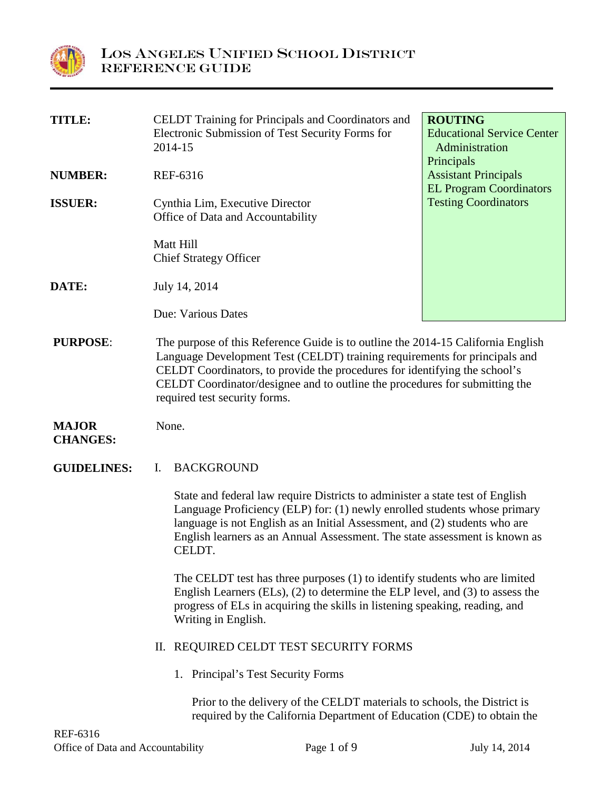

| <b>TITLE:</b>                   | <b>CELDT</b> Training for Principals and Coordinators and<br>Electronic Submission of Test Security Forms for<br>2014-15                                                                                                                                                                                                                                     | <b>ROUTING</b><br><b>Educational Service Center</b><br>Administration |
|---------------------------------|--------------------------------------------------------------------------------------------------------------------------------------------------------------------------------------------------------------------------------------------------------------------------------------------------------------------------------------------------------------|-----------------------------------------------------------------------|
| <b>NUMBER:</b>                  | REF-6316                                                                                                                                                                                                                                                                                                                                                     | Principals<br><b>Assistant Principals</b>                             |
| <b>ISSUER:</b>                  | Cynthia Lim, Executive Director<br>Office of Data and Accountability                                                                                                                                                                                                                                                                                         | <b>EL Program Coordinators</b><br><b>Testing Coordinators</b>         |
|                                 | Matt Hill<br><b>Chief Strategy Officer</b>                                                                                                                                                                                                                                                                                                                   |                                                                       |
| DATE:                           | July 14, 2014                                                                                                                                                                                                                                                                                                                                                |                                                                       |
|                                 | Due: Various Dates                                                                                                                                                                                                                                                                                                                                           |                                                                       |
| <b>PURPOSE:</b>                 | The purpose of this Reference Guide is to outline the 2014-15 California English<br>Language Development Test (CELDT) training requirements for principals and<br>CELDT Coordinators, to provide the procedures for identifying the school's<br>CELDT Coordinator/designee and to outline the procedures for submitting the<br>required test security forms. |                                                                       |
| <b>MAJOR</b><br><b>CHANGES:</b> | None.                                                                                                                                                                                                                                                                                                                                                        |                                                                       |
| <b>GUIDELINES:</b>              | <b>BACKGROUND</b><br>I.                                                                                                                                                                                                                                                                                                                                      |                                                                       |
|                                 | State and federal law require Districts to administer a state test of English<br>Language Proficiency (ELP) for: (1) newly enrolled students whose primary<br>language is not English as an Initial Assessment, and (2) students who are<br>English learners as an Annual Assessment. The state assessment is known as<br>CELDT.                             |                                                                       |
|                                 | The CELDT test has three purposes (1) to identify students who are limited<br>English Learners $(ELs)$ , $(2)$ to determine the ELP level, and $(3)$ to assess the<br>progress of ELs in acquiring the skills in listening speaking, reading, and<br>Writing in English.                                                                                     |                                                                       |
|                                 | II. REQUIRED CELDT TEST SECURITY FORMS                                                                                                                                                                                                                                                                                                                       |                                                                       |
|                                 | 1. Principal's Test Security Forms                                                                                                                                                                                                                                                                                                                           |                                                                       |
|                                 | Prior to the delivery of the CELDT materials to schools, the District is<br>required by the California Department of Education (CDE) to obtain the                                                                                                                                                                                                           |                                                                       |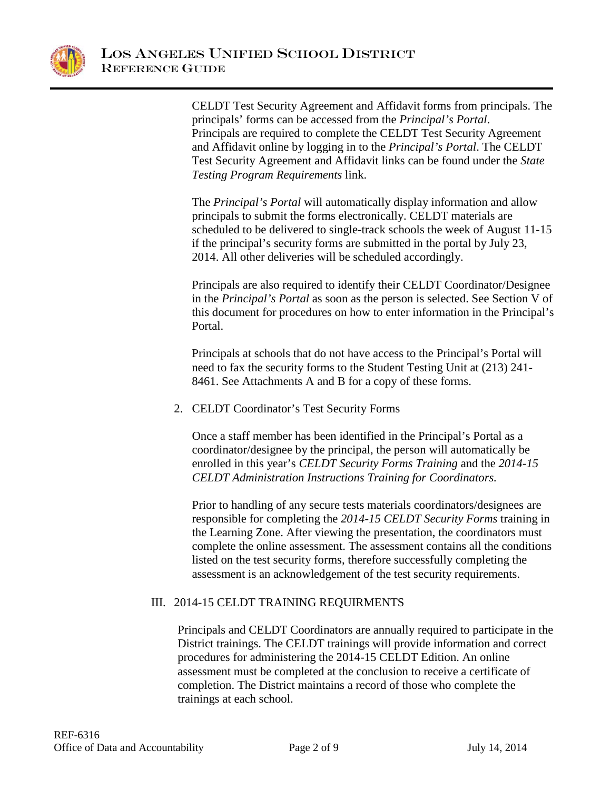

CELDT Test Security Agreement and Affidavit forms from principals. The principals' forms can be accessed from the *Principal's Portal*. Principals are required to complete the CELDT Test Security Agreement and Affidavit online by logging in to the *Principal's Portal*. The CELDT Test Security Agreement and Affidavit links can be found under the *State Testing Program Requirements* link.

The *Principal's Portal* will automatically display information and allow principals to submit the forms electronically. CELDT materials are scheduled to be delivered to single-track schools the week of August 11-15 if the principal's security forms are submitted in the portal by July 23, 2014. All other deliveries will be scheduled accordingly.

Principals are also required to identify their CELDT Coordinator/Designee in the *Principal's Portal* as soon as the person is selected. See Section V of this document for procedures on how to enter information in the Principal's Portal.

Principals at schools that do not have access to the Principal's Portal will need to fax the security forms to the Student Testing Unit at (213) 241- 8461. See Attachments A and B for a copy of these forms.

2. CELDT Coordinator's Test Security Forms

Once a staff member has been identified in the Principal's Portal as a coordinator/designee by the principal, the person will automatically be enrolled in this year's *CELDT Security Forms Training* and the *2014-15 CELDT Administration Instructions Training for Coordinators.*

Prior to handling of any secure tests materials coordinators/designees are responsible for completing the *2014-15 CELDT Security Forms* training in the Learning Zone. After viewing the presentation, the coordinators must complete the online assessment. The assessment contains all the conditions listed on the test security forms, therefore successfully completing the assessment is an acknowledgement of the test security requirements.

# III. 2014-15 CELDT TRAINING REQUIRMENTS

Principals and CELDT Coordinators are annually required to participate in the District trainings. The CELDT trainings will provide information and correct procedures for administering the 2014-15 CELDT Edition. An online assessment must be completed at the conclusion to receive a certificate of completion. The District maintains a record of those who complete the trainings at each school.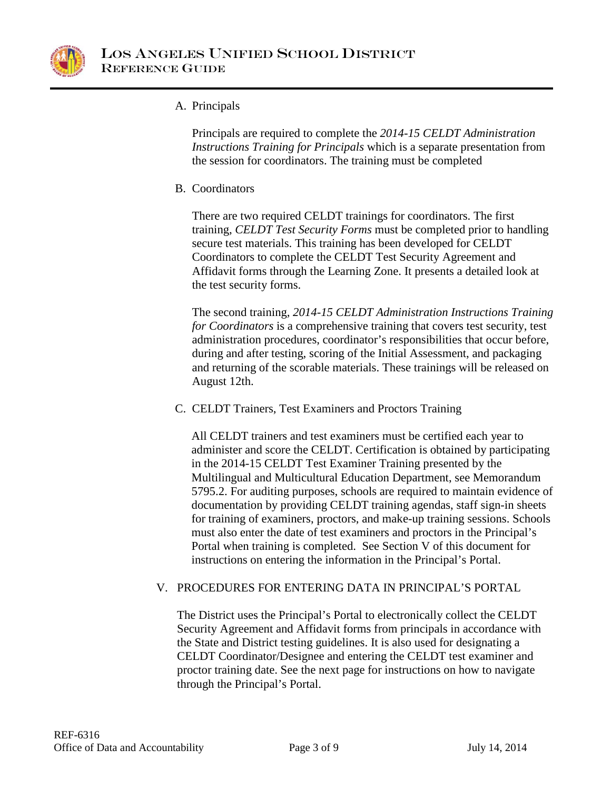

## A. Principals

Principals are required to complete the *2014-15 CELDT Administration Instructions Training for Principals* which is a separate presentation from the session for coordinators. The training must be completed

B. Coordinators

There are two required CELDT trainings for coordinators. The first training, *CELDT Test Security Forms* must be completed prior to handling secure test materials. This training has been developed for CELDT Coordinators to complete the CELDT Test Security Agreement and Affidavit forms through the Learning Zone. It presents a detailed look at the test security forms.

The second training, *2014-15 CELDT Administration Instructions Training for Coordinators* is a comprehensive training that covers test security, test administration procedures, coordinator's responsibilities that occur before, during and after testing, scoring of the Initial Assessment, and packaging and returning of the scorable materials. These trainings will be released on August 12th.

C. CELDT Trainers, Test Examiners and Proctors Training

All CELDT trainers and test examiners must be certified each year to administer and score the CELDT. Certification is obtained by participating in the 2014-15 CELDT Test Examiner Training presented by the Multilingual and Multicultural Education Department, see Memorandum 5795.2. For auditing purposes, schools are required to maintain evidence of documentation by providing CELDT training agendas, staff sign-in sheets for training of examiners, proctors, and make-up training sessions. Schools must also enter the date of test examiners and proctors in the Principal's Portal when training is completed. See Section V of this document for instructions on entering the information in the Principal's Portal.

## V. PROCEDURES FOR ENTERING DATA IN PRINCIPAL'S PORTAL

The District uses the Principal's Portal to electronically collect the CELDT Security Agreement and Affidavit forms from principals in accordance with the State and District testing guidelines. It is also used for designating a CELDT Coordinator/Designee and entering the CELDT test examiner and proctor training date. See the next page for instructions on how to navigate through the Principal's Portal.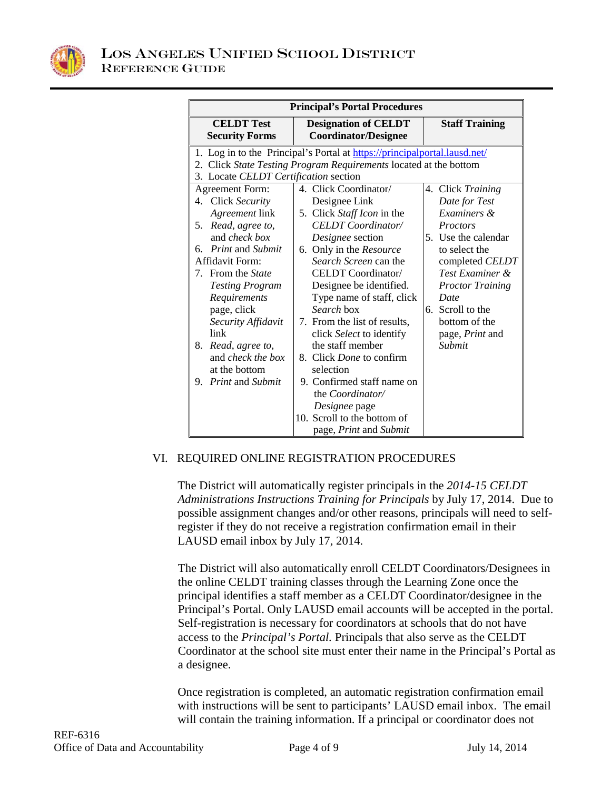

| <b>Principal's Portal Procedures</b>                                                                                                                                                    |                                                                                                                                                                               |                                                                                                                               |  |
|-----------------------------------------------------------------------------------------------------------------------------------------------------------------------------------------|-------------------------------------------------------------------------------------------------------------------------------------------------------------------------------|-------------------------------------------------------------------------------------------------------------------------------|--|
| <b>CELDT</b> Test<br><b>Security Forms</b>                                                                                                                                              | <b>Designation of CELDT</b><br><b>Coordinator/Designee</b>                                                                                                                    | <b>Staff Training</b>                                                                                                         |  |
| 1. Log in to the Principal's Portal at https://principalportal.lausd.net/<br>2. Click State Testing Program Requirements located at the bottom<br>3. Locate CELDT Certification section |                                                                                                                                                                               |                                                                                                                               |  |
| <b>Agreement Form:</b><br>4. Click Security<br>Agreement link<br>Read, agree to,<br>5.<br>and <i>check box</i><br><i>Print</i> and <i>Submit</i><br>б.                                  | 4. Click Coordinator/<br>Designee Link<br>5. Click Staff Icon in the<br><b>CELDT</b> Coordinator/<br>Designee section<br>6. Only in the Resource                              | 4. Click Training<br>Date for Test<br>Examiners &<br><b>Proctors</b><br>5. Use the calendar<br>to select the                  |  |
| Affidavit Form:<br>7. From the State<br><b>Testing Program</b><br>Requirements<br>page, click<br>Security Affidavit<br>link                                                             | Search Screen can the<br>CELDT Coordinator/<br>Designee be identified.<br>Type name of staff, click<br>Search box<br>7. From the list of results,<br>click Select to identify | completed CELDT<br>Test Examiner &<br><b>Proctor Training</b><br>Date<br>6. Scroll to the<br>bottom of the<br>page, Print and |  |
| Read, agree to,<br>8.<br>and <i>check the box</i><br>at the bottom                                                                                                                      | the staff member<br>8. Click Done to confirm<br>selection                                                                                                                     | Submit                                                                                                                        |  |
| <i>Print</i> and <i>Submit</i><br>9.                                                                                                                                                    | 9. Confirmed staff name on<br>the Coordinator/<br>Designee page<br>10. Scroll to the bottom of<br>page, Print and Submit                                                      |                                                                                                                               |  |

#### VI. REQUIRED ONLINE REGISTRATION PROCEDURES

The District will automatically register principals in the *2014-15 CELDT Administrations Instructions Training for Principals* by July 17, 2014. Due to possible assignment changes and/or other reasons, principals will need to selfregister if they do not receive a registration confirmation email in their LAUSD email inbox by July 17, 2014.

The District will also automatically enroll CELDT Coordinators/Designees in the online CELDT training classes through the Learning Zone once the principal identifies a staff member as a CELDT Coordinator/designee in the Principal's Portal. Only LAUSD email accounts will be accepted in the portal. Self-registration is necessary for coordinators at schools that do not have access to the *Principal's Portal.* Principals that also serve as the CELDT Coordinator at the school site must enter their name in the Principal's Portal as a designee.

Once registration is completed, an automatic registration confirmation email with instructions will be sent to participants' LAUSD email inbox. The email will contain the training information. If a principal or coordinator does not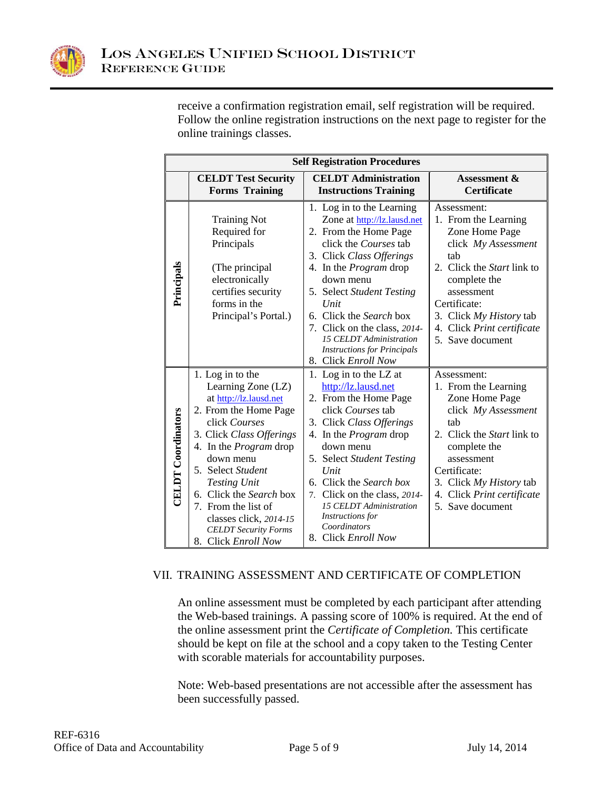

receive a confirmation registration email, self registration will be required. Follow the online registration instructions on the next page to register for the online trainings classes.

| <b>Self Registration Procedures</b> |                                                                                                                                                                                                                                                                                                                                                                    |                                                                                                                                                                                                                                                                                                                                                                              |                                                                                                                                                                                                                                              |
|-------------------------------------|--------------------------------------------------------------------------------------------------------------------------------------------------------------------------------------------------------------------------------------------------------------------------------------------------------------------------------------------------------------------|------------------------------------------------------------------------------------------------------------------------------------------------------------------------------------------------------------------------------------------------------------------------------------------------------------------------------------------------------------------------------|----------------------------------------------------------------------------------------------------------------------------------------------------------------------------------------------------------------------------------------------|
|                                     | <b>CELDT Test Security</b><br><b>Forms Training</b>                                                                                                                                                                                                                                                                                                                | <b>CELDT</b> Administration<br><b>Instructions Training</b>                                                                                                                                                                                                                                                                                                                  | <b>Assessment &amp;</b><br><b>Certificate</b>                                                                                                                                                                                                |
| Principals                          | <b>Training Not</b><br>Required for<br>Principals<br>(The principal<br>electronically<br>certifies security<br>forms in the<br>Principal's Portal.)                                                                                                                                                                                                                | 1. Log in to the Learning<br>Zone at http://lz.lausd.net<br>2. From the Home Page<br>click the Courses tab<br>3. Click Class Offerings<br>4. In the <i>Program</i> drop<br>down menu<br>5. Select Student Testing<br>Unit<br>6. Click the Search box<br>7. Click on the class, 2014-<br>15 CELDT Administration<br><b>Instructions for Principals</b><br>8. Click Enroll Now | Assessment:<br>1. From the Learning<br>Zone Home Page<br>click My Assessment<br>tab<br>2. Click the Start link to<br>complete the<br>assessment<br>Certificate:<br>3. Click My History tab<br>4. Click Print certificate<br>5. Save document |
| <b>CELDT</b> Coordinators           | 1. Log in to the<br>Learning Zone (LZ)<br>at http://lz.lausd.net<br>2. From the Home Page<br>click Courses<br>3. Click Class Offerings<br>4. In the <i>Program</i> drop<br>down menu<br>5. Select Student<br><b>Testing Unit</b><br>6. Click the Search box<br>7. From the list of<br>classes click, 2014-15<br><b>CELDT</b> Security Forms<br>8. Click Enroll Now | 1. Log in to the LZ at<br>http://lz.lausd.net<br>2. From the Home Page<br>click Courses tab<br>3. Click Class Offerings<br>4. In the <i>Program</i> drop<br>down menu<br>5. Select Student Testing<br>Unit<br>6. Click the Search box<br>7. Click on the class, 2014-<br>15 CELDT Administration<br>Instructions for<br>Coordinators<br>8. Click Enroll Now                  | Assessment:<br>1. From the Learning<br>Zone Home Page<br>click My Assessment<br>tab<br>2. Click the Start link to<br>complete the<br>assessment<br>Certificate:<br>3. Click My History tab<br>4. Click Print certificate<br>5. Save document |

## VII. TRAINING ASSESSMENT AND CERTIFICATE OF COMPLETION

An online assessment must be completed by each participant after attending the Web-based trainings. A passing score of 100% is required. At the end of the online assessment print the *Certificate of Completion.* This certificate should be kept on file at the school and a copy taken to the Testing Center with scorable materials for accountability purposes.

Note: Web-based presentations are not accessible after the assessment has been successfully passed.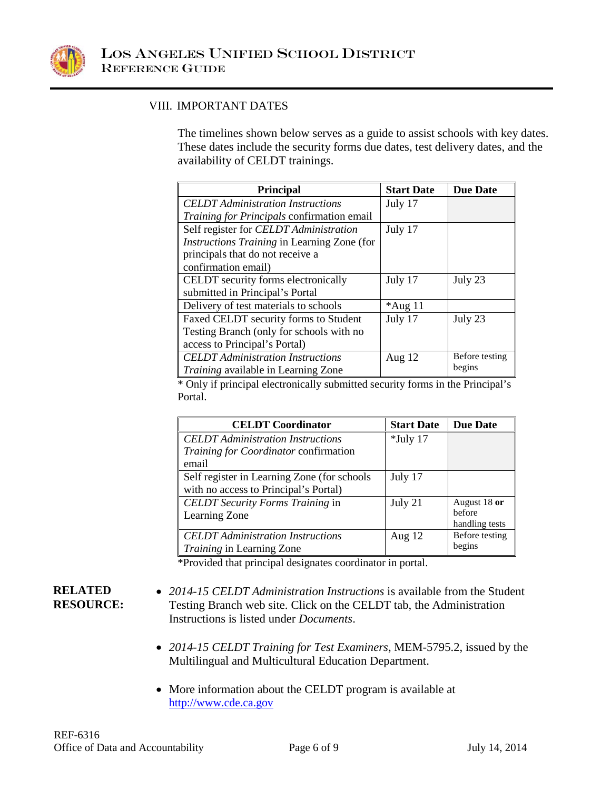

### VIII. IMPORTANT DATES

The timelines shown below serves as a guide to assist schools with key dates. These dates include the security forms due dates, test delivery dates, and the availability of CELDT trainings.

| <b>Principal</b>                            | <b>Start Date</b> | <b>Due Date</b> |
|---------------------------------------------|-------------------|-----------------|
| <b>CELDT</b> Administration Instructions    | July 17           |                 |
| Training for Principals confirmation email  |                   |                 |
| Self register for CELDT Administration      | July 17           |                 |
| Instructions Training in Learning Zone (for |                   |                 |
| principals that do not receive a            |                   |                 |
| confirmation email)                         |                   |                 |
| CELDT security forms electronically         | July 17           | July 23         |
| submitted in Principal's Portal             |                   |                 |
| Delivery of test materials to schools       | $*$ Aug 11        |                 |
| Faxed CELDT security forms to Student       | July 17           | July 23         |
| Testing Branch (only for schools with no    |                   |                 |
| access to Principal's Portal)               |                   |                 |
| <b>CELDT</b> Administration Instructions    | Aug $12$          | Before testing  |
| <i>Training</i> available in Learning Zone  |                   | begins          |

\* Only if principal electronically submitted security forms in the Principal's Portal.

| <b>CELDT</b> Coordinator                     | <b>Start Date</b> | <b>Due Date</b> |
|----------------------------------------------|-------------------|-----------------|
| <b>CELDT</b> Administration Instructions     | $*$ July 17       |                 |
| <i>Training for Coordinator</i> confirmation |                   |                 |
| email                                        |                   |                 |
| Self register in Learning Zone (for schools  | July 17           |                 |
| with no access to Principal's Portal)        |                   |                 |
| <b>CELDT</b> Security Forms Training in      | July 21           | August 18 or    |
| Learning Zone                                |                   | hefore          |
|                                              |                   | handling tests  |
| <b>CELDT</b> Administration Instructions     | Aug $12$          | Before testing  |
| <i>Training</i> in Learning Zone             |                   | begins          |

\*Provided that principal designates coordinator in portal.

#### **RELATED RESOURCE:**

- *2014-15 CELDT Administration Instructions* is available from the Student Testing Branch web site. Click on the CELDT tab, the Administration Instructions is listed under *Documents*.
- *2014-15 CELDT Training for Test Examiners*, MEM-5795.2, issued by the Multilingual and Multicultural Education Department.
- More information about the CELDT program is available at [http://www.cde.ca.gov](http://www.cde.ca.gov/)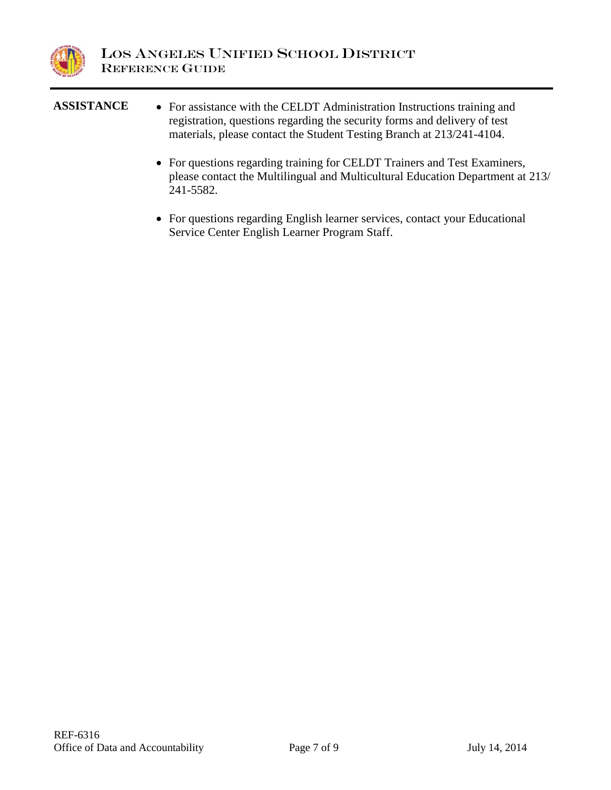

| <b>ASSISTANCE</b> | • For assistance with the CELDT Administration Instructions training and<br>registration, questions regarding the security forms and delivery of test<br>materials, please contact the Student Testing Branch at 213/241-4104. |
|-------------------|--------------------------------------------------------------------------------------------------------------------------------------------------------------------------------------------------------------------------------|
|                   | • For questions regarding training for CELDT Trainers and Test Examiners,<br>please contact the Multilingual and Multicultural Education Department at 213/<br>241-5582.                                                       |

• For questions regarding English learner services, contact your Educational Service Center English Learner Program Staff.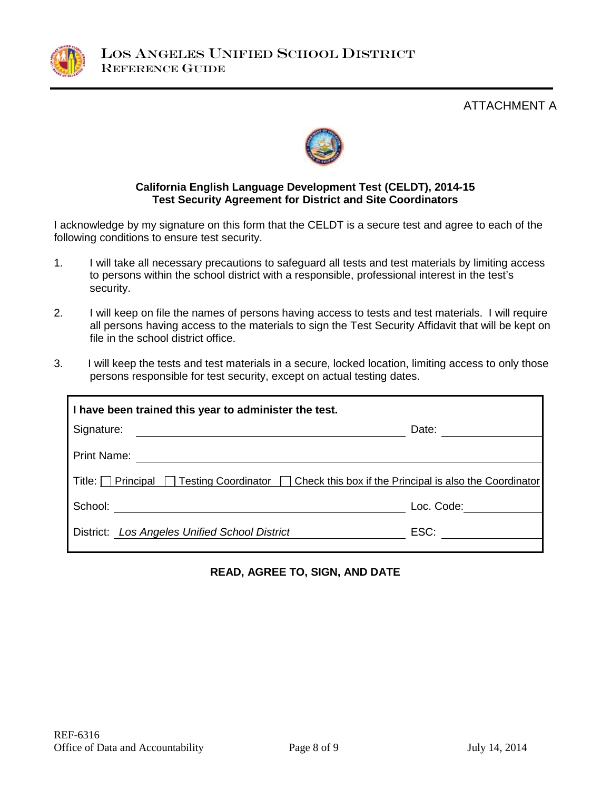

ATTACHMENT A



#### **California English Language Development Test (CELDT), 2014-15 Test Security Agreement for District and Site Coordinators**

I acknowledge by my signature on this form that the CELDT is a secure test and agree to each of the following conditions to ensure test security.

- 1. I will take all necessary precautions to safeguard all tests and test materials by limiting access to persons within the school district with a responsible, professional interest in the test's security.
- 2. I will keep on file the names of persons having access to tests and test materials. I will require all persons having access to the materials to sign the Test Security Affidavit that will be kept on file in the school district office.
- 3. I will keep the tests and test materials in a secure, locked location, limiting access to only those persons responsible for test security, except on actual testing dates.

| I have been trained this year to administer the test.                                                                           |            |  |
|---------------------------------------------------------------------------------------------------------------------------------|------------|--|
| Signature:<br><u> 1989 - Johann Stein, fransk politik (f. 1989)</u>                                                             | Date:      |  |
| <b>Print Name:</b>                                                                                                              |            |  |
| Title: $\Box$ Principal<br>  Testing Coordinator   Check this box if the Principal is also the Coordinator                      |            |  |
| School:<br><u> 1980 - Jan Stein Stein Stein Stein Stein Stein Stein Stein Stein Stein Stein Stein Stein Stein Stein Stein S</u> | Loc. Code: |  |
| District: Los Angeles Unified School District                                                                                   | ESC:       |  |

## **READ, AGREE TO, SIGN, AND DATE**